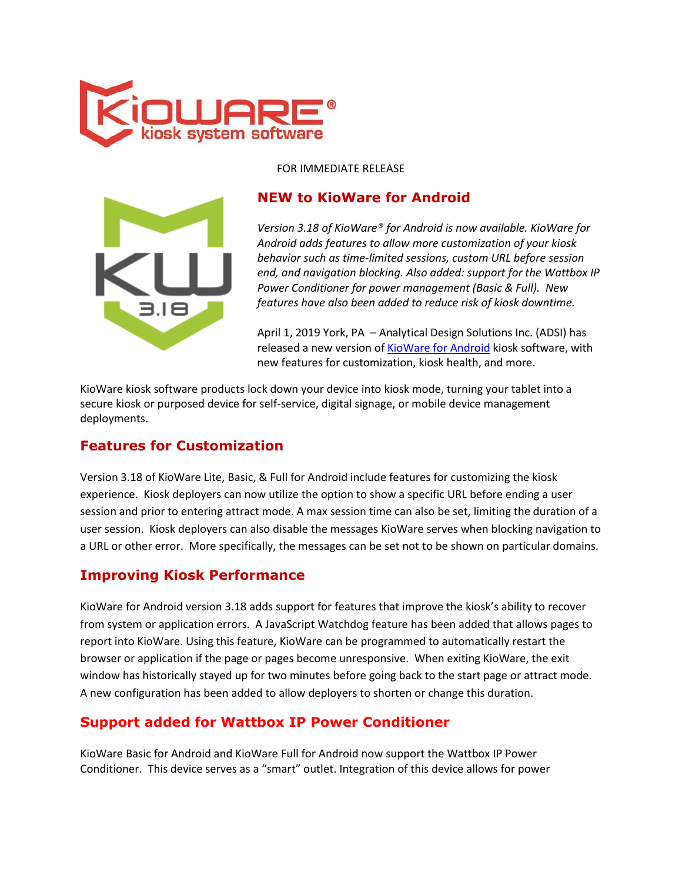

#### FOR IMMEDIATE RELEASE



## **NEW to KioWare for Android**

*Version 3.18 of KioWare® for Android is now available. KioWare for Android adds features to allow more customization of your kiosk behavior such as time-limited sessions, custom URL before session end, and navigation blocking. Also added: support for the Wattbox IP Power Conditioner for power management (Basic & Full). New features have also been added to reduce risk of kiosk downtime.*

April 1, 2019 York, PA – Analytical Design Solutions Inc. (ADSI) has released a new version of [KioWare for Android](https://m.kioware.com/android) kiosk software, with new features for customization, kiosk health, and more.

KioWare kiosk software products lock down your device into kiosk mode, turning your tablet into a secure kiosk or purposed device for self-service, digital signage, or mobile device management deployments.

### **Features for Customization**

Version 3.18 of KioWare Lite, Basic, & Full for Android include features for customizing the kiosk experience. Kiosk deployers can now utilize the option to show a specific URL before ending a user session and prior to entering attract mode. A max session time can also be set, limiting the duration of a user session. Kiosk deployers can also disable the messages KioWare serves when blocking navigation to a URL or other error. More specifically, the messages can be set not to be shown on particular domains.

### **Improving Kiosk Performance**

KioWare for Android version 3.18 adds support for features that improve the kiosk's ability to recover from system or application errors. A JavaScript Watchdog feature has been added that allows pages to report into KioWare. Using this feature, KioWare can be programmed to automatically restart the browser or application if the page or pages become unresponsive. When exiting KioWare, the exit window has historically stayed up for two minutes before going back to the start page or attract mode. A new configuration has been added to allow deployers to shorten or change this duration.

### **Support added for Wattbox IP Power Conditioner**

KioWare Basic for Android and KioWare Full for Android now support the Wattbox IP Power Conditioner. This device serves as a "smart" outlet. Integration of this device allows for power